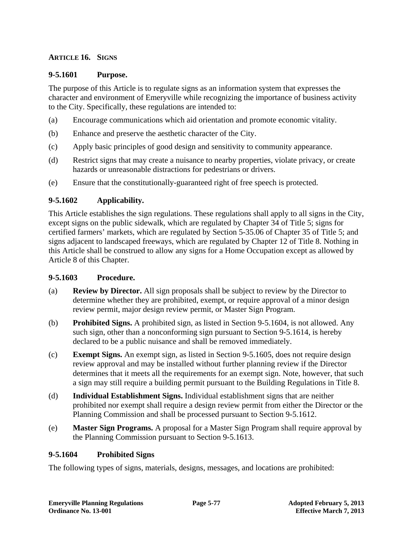### **ARTICLE 16. SIGNS**

#### **9-5.1601 Purpose.**

The purpose of this Article is to regulate signs as an information system that expresses the character and environment of Emeryville while recognizing the importance of business activity to the City. Specifically, these regulations are intended to:

- (a) Encourage communications which aid orientation and promote economic vitality.
- (b) Enhance and preserve the aesthetic character of the City.
- (c) Apply basic principles of good design and sensitivity to community appearance.
- (d) Restrict signs that may create a nuisance to nearby properties, violate privacy, or create hazards or unreasonable distractions for pedestrians or drivers.
- (e) Ensure that the constitutionally-guaranteed right of free speech is protected.

### **9-5.1602 Applicability.**

This Article establishes the sign regulations. These regulations shall apply to all signs in the City, except signs on the public sidewalk, which are regulated by Chapter 34 of Title 5; signs for certified farmers' markets, which are regulated by Section 5-35.06 of Chapter 35 of Title 5; and signs adjacent to landscaped freeways, which are regulated by Chapter 12 of Title 8. Nothing in this Article shall be construed to allow any signs for a Home Occupation except as allowed by Article 8 of this Chapter.

#### **9-5.1603 Procedure.**

- (a) **Review by Director.** All sign proposals shall be subject to review by the Director to determine whether they are prohibited, exempt, or require approval of a minor design review permit, major design review permit, or Master Sign Program.
- (b) **Prohibited Signs.** A prohibited sign, as listed in Section 9-5.1604, is not allowed. Any such sign, other than a nonconforming sign pursuant to Section 9-5.1614, is hereby declared to be a public nuisance and shall be removed immediately.
- (c) **Exempt Signs.** An exempt sign, as listed in Section 9-5.1605, does not require design review approval and may be installed without further planning review if the Director determines that it meets all the requirements for an exempt sign. Note, however, that such a sign may still require a building permit pursuant to the Building Regulations in Title 8.
- (d) **Individual Establishment Signs.** Individual establishment signs that are neither prohibited nor exempt shall require a design review permit from either the Director or the Planning Commission and shall be processed pursuant to Section 9-5.1612.
- (e) **Master Sign Programs.** A proposal for a Master Sign Program shall require approval by the Planning Commission pursuant to Section 9-5.1613.

### **9-5.1604 Prohibited Signs**

The following types of signs, materials, designs, messages, and locations are prohibited: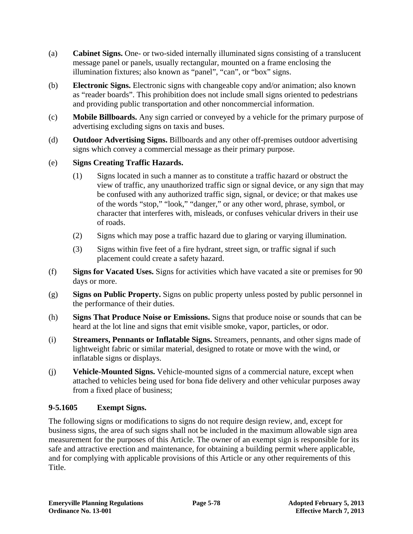- (a) **Cabinet Signs.** One- or two-sided internally illuminated signs consisting of a translucent message panel or panels, usually rectangular, mounted on a frame enclosing the illumination fixtures; also known as "panel", "can", or "box" signs.
- (b) **Electronic Signs.** Electronic signs with changeable copy and/or animation; also known as "reader boards". This prohibition does not include small signs oriented to pedestrians and providing public transportation and other noncommercial information.
- (c) **Mobile Billboards.** Any sign carried or conveyed by a vehicle for the primary purpose of advertising excluding signs on taxis and buses.
- (d) **Outdoor Advertising Signs.** Billboards and any other off-premises outdoor advertising signs which convey a commercial message as their primary purpose.

# (e) **Signs Creating Traffic Hazards.**

- (1) Signs located in such a manner as to constitute a traffic hazard or obstruct the view of traffic, any unauthorized traffic sign or signal device, or any sign that may be confused with any authorized traffic sign, signal, or device; or that makes use of the words "stop," "look," "danger," or any other word, phrase, symbol, or character that interferes with, misleads, or confuses vehicular drivers in their use of roads.
- (2) Signs which may pose a traffic hazard due to glaring or varying illumination.
- (3) Signs within five feet of a fire hydrant, street sign, or traffic signal if such placement could create a safety hazard.
- (f) **Signs for Vacated Uses.** Signs for activities which have vacated a site or premises for 90 days or more.
- (g) **Signs on Public Property.** Signs on public property unless posted by public personnel in the performance of their duties.
- (h) **Signs That Produce Noise or Emissions.** Signs that produce noise or sounds that can be heard at the lot line and signs that emit visible smoke, vapor, particles, or odor.
- (i) **Streamers, Pennants or Inflatable Signs.** Streamers, pennants, and other signs made of lightweight fabric or similar material, designed to rotate or move with the wind, or inflatable signs or displays.
- (j) **Vehicle-Mounted Signs.** Vehicle-mounted signs of a commercial nature, except when attached to vehicles being used for bona fide delivery and other vehicular purposes away from a fixed place of business;

## **9-5.1605 Exempt Signs.**

The following signs or modifications to signs do not require design review, and, except for business signs, the area of such signs shall not be included in the maximum allowable sign area measurement for the purposes of this Article. The owner of an exempt sign is responsible for its safe and attractive erection and maintenance, for obtaining a building permit where applicable, and for complying with applicable provisions of this Article or any other requirements of this Title.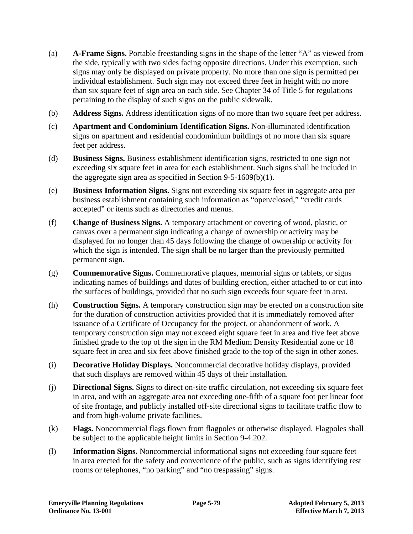- (a) **A-Frame Signs.** Portable freestanding signs in the shape of the letter "A" as viewed from the side, typically with two sides facing opposite directions. Under this exemption, such signs may only be displayed on private property. No more than one sign is permitted per individual establishment. Such sign may not exceed three feet in height with no more than six square feet of sign area on each side. See Chapter 34 of Title 5 for regulations pertaining to the display of such signs on the public sidewalk.
- (b) **Address Signs.** Address identification signs of no more than two square feet per address.
- (c) **Apartment and Condominium Identification Signs.** Non-illuminated identification signs on apartment and residential condominium buildings of no more than six square feet per address.
- (d) **Business Signs.** Business establishment identification signs, restricted to one sign not exceeding six square feet in area for each establishment. Such signs shall be included in the aggregate sign area as specified in Section 9-5-1609(b)(1).
- (e) **Business Information Signs.** Signs not exceeding six square feet in aggregate area per business establishment containing such information as "open/closed," "credit cards accepted" or items such as directories and menus.
- (f) **Change of Business Signs.** A temporary attachment or covering of wood, plastic, or canvas over a permanent sign indicating a change of ownership or activity may be displayed for no longer than 45 days following the change of ownership or activity for which the sign is intended. The sign shall be no larger than the previously permitted permanent sign.
- (g) **Commemorative Signs.** Commemorative plaques, memorial signs or tablets, or signs indicating names of buildings and dates of building erection, either attached to or cut into the surfaces of buildings, provided that no such sign exceeds four square feet in area.
- (h) **Construction Signs.** A temporary construction sign may be erected on a construction site for the duration of construction activities provided that it is immediately removed after issuance of a Certificate of Occupancy for the project, or abandonment of work. A temporary construction sign may not exceed eight square feet in area and five feet above finished grade to the top of the sign in the RM Medium Density Residential zone or 18 square feet in area and six feet above finished grade to the top of the sign in other zones.
- (i) **Decorative Holiday Displays.** Noncommercial decorative holiday displays, provided that such displays are removed within 45 days of their installation.
- (j) **Directional Signs.** Signs to direct on-site traffic circulation, not exceeding six square feet in area, and with an aggregate area not exceeding one-fifth of a square foot per linear foot of site frontage, and publicly installed off-site directional signs to facilitate traffic flow to and from high-volume private facilities.
- (k) **Flags.** Noncommercial flags flown from flagpoles or otherwise displayed. Flagpoles shall be subject to the applicable height limits in Section 9-4.202.
- (l) **Information Signs.** Noncommercial informational signs not exceeding four square feet in area erected for the safety and convenience of the public, such as signs identifying rest rooms or telephones, "no parking" and "no trespassing" signs.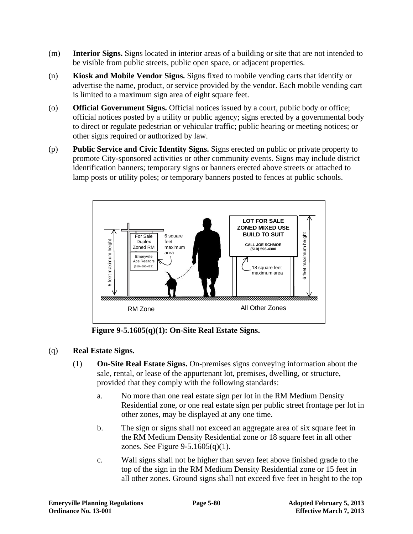- (m) **Interior Signs.** Signs located in interior areas of a building or site that are not intended to be visible from public streets, public open space, or adjacent properties.
- (n) **Kiosk and Mobile Vendor Signs.** Signs fixed to mobile vending carts that identify or advertise the name, product, or service provided by the vendor. Each mobile vending cart is limited to a maximum sign area of eight square feet.
- (o) **Official Government Signs.** Official notices issued by a court, public body or office; official notices posted by a utility or public agency; signs erected by a governmental body to direct or regulate pedestrian or vehicular traffic; public hearing or meeting notices; or other signs required or authorized by law.
- (p) **Public Service and Civic Identity Signs.** Signs erected on public or private property to promote City-sponsored activities or other community events. Signs may include district identification banners; temporary signs or banners erected above streets or attached to lamp posts or utility poles; or temporary banners posted to fences at public schools.



**Figure 9-5.1605(q)(1): On-Site Real Estate Signs.** 

- (q) **Real Estate Signs.** 
	- (1) **On-Site Real Estate Signs.** On-premises signs conveying information about the sale, rental, or lease of the appurtenant lot, premises, dwelling, or structure, provided that they comply with the following standards:
		- a. No more than one real estate sign per lot in the RM Medium Density Residential zone, or one real estate sign per public street frontage per lot in other zones, may be displayed at any one time.
		- b. The sign or signs shall not exceed an aggregate area of six square feet in the RM Medium Density Residential zone or 18 square feet in all other zones. See Figure 9-5.1605(q)(1).
		- c. Wall signs shall not be higher than seven feet above finished grade to the top of the sign in the RM Medium Density Residential zone or 15 feet in all other zones. Ground signs shall not exceed five feet in height to the top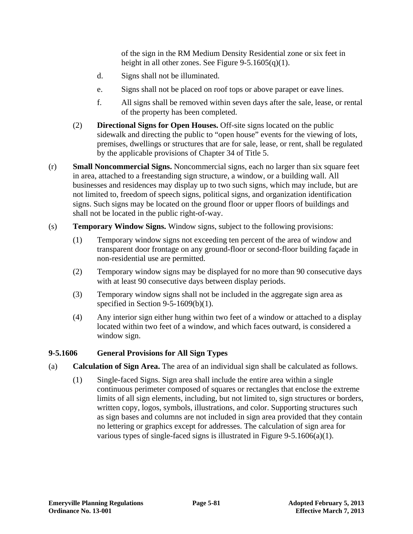of the sign in the RM Medium Density Residential zone or six feet in height in all other zones. See Figure  $9-5.1605(q)(1)$ .

- d. Signs shall not be illuminated.
- e. Signs shall not be placed on roof tops or above parapet or eave lines.
- f. All signs shall be removed within seven days after the sale, lease, or rental of the property has been completed.
- (2) **Directional Signs for Open Houses.** Off-site signs located on the public sidewalk and directing the public to "open house" events for the viewing of lots, premises, dwellings or structures that are for sale, lease, or rent, shall be regulated by the applicable provisions of Chapter 34 of Title 5.
- (r) **Small Noncommercial Signs.** Noncommercial signs, each no larger than six square feet in area, attached to a freestanding sign structure, a window, or a building wall. All businesses and residences may display up to two such signs, which may include, but are not limited to, freedom of speech signs, political signs, and organization identification signs. Such signs may be located on the ground floor or upper floors of buildings and shall not be located in the public right-of-way.
- (s) **Temporary Window Signs.** Window signs, subject to the following provisions:
	- (1) Temporary window signs not exceeding ten percent of the area of window and transparent door frontage on any ground-floor or second-floor building façade in non-residential use are permitted.
	- (2) Temporary window signs may be displayed for no more than 90 consecutive days with at least 90 consecutive days between display periods.
	- (3) Temporary window signs shall not be included in the aggregate sign area as specified in Section  $9-5-1609(b)(1)$ .
	- (4) Any interior sign either hung within two feet of a window or attached to a display located within two feet of a window, and which faces outward, is considered a window sign.

### **9-5.1606 General Provisions for All Sign Types**

- (a) **Calculation of Sign Area.** The area of an individual sign shall be calculated as follows.
	- (1) Single-faced Signs. Sign area shall include the entire area within a single continuous perimeter composed of squares or rectangles that enclose the extreme limits of all sign elements, including, but not limited to, sign structures or borders, written copy, logos, symbols, illustrations, and color. Supporting structures such as sign bases and columns are not included in sign area provided that they contain no lettering or graphics except for addresses. The calculation of sign area for various types of single-faced signs is illustrated in Figure 9-5.1606(a)(1).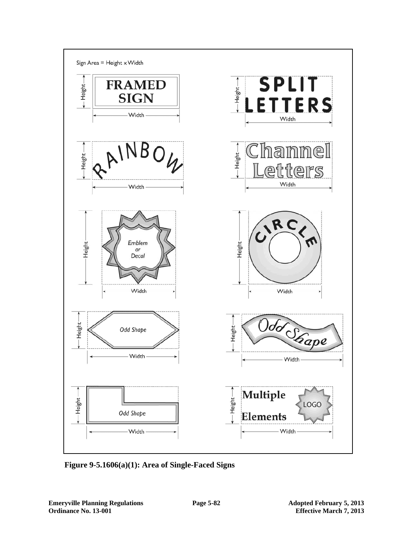

**Figure 9-5.1606(a)(1): Area of Single-Faced Signs**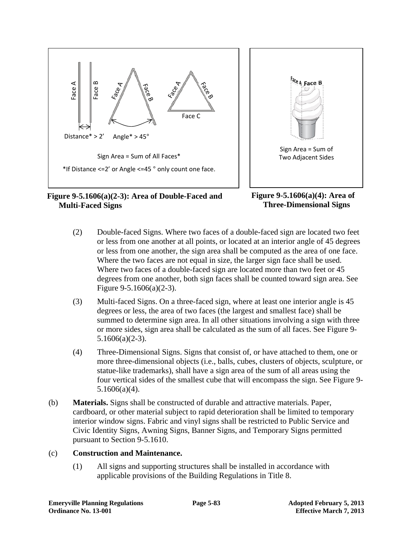



# **Figure 9-5.1606(a)(2-3): Area of Double-Faced and Multi-Faced Signs**

**Figure 9-5.1606(a)(4): Area of Three-Dimensional Signs** 

- (2) Double-faced Signs. Where two faces of a double-faced sign are located two feet or less from one another at all points, or located at an interior angle of 45 degrees or less from one another, the sign area shall be computed as the area of one face. Where the two faces are not equal in size, the larger sign face shall be used. Where two faces of a double-faced sign are located more than two feet or 45 degrees from one another, both sign faces shall be counted toward sign area. See Figure 9-5.1606(a)(2-3).
- (3) Multi-faced Signs. On a three-faced sign, where at least one interior angle is 45 degrees or less, the area of two faces (the largest and smallest face) shall be summed to determine sign area. In all other situations involving a sign with three or more sides, sign area shall be calculated as the sum of all faces. See Figure 9- 5.1606(a)(2-3).
- (4) Three-Dimensional Signs. Signs that consist of, or have attached to them, one or more three-dimensional objects (i.e., balls, cubes, clusters of objects, sculpture, or statue-like trademarks), shall have a sign area of the sum of all areas using the four vertical sides of the smallest cube that will encompass the sign. See Figure 9- 5.1606(a)(4).
- (b) **Materials.** Signs shall be constructed of durable and attractive materials. Paper, cardboard, or other material subject to rapid deterioration shall be limited to temporary interior window signs. Fabric and vinyl signs shall be restricted to Public Service and Civic Identity Signs, Awning Signs, Banner Signs, and Temporary Signs permitted pursuant to Section 9-5.1610.

## (c) **Construction and Maintenance.**

(1) All signs and supporting structures shall be installed in accordance with applicable provisions of the Building Regulations in Title 8.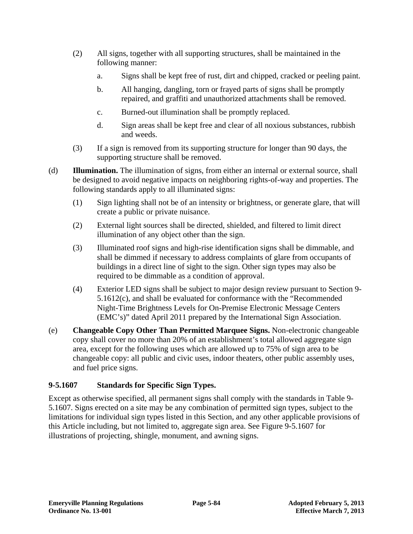- (2) All signs, together with all supporting structures, shall be maintained in the following manner:
	- a. Signs shall be kept free of rust, dirt and chipped, cracked or peeling paint.
	- b. All hanging, dangling, torn or frayed parts of signs shall be promptly repaired, and graffiti and unauthorized attachments shall be removed.
	- c. Burned-out illumination shall be promptly replaced.
	- d. Sign areas shall be kept free and clear of all noxious substances, rubbish and weeds.
- (3) If a sign is removed from its supporting structure for longer than 90 days, the supporting structure shall be removed.
- (d) **Illumination.** The illumination of signs, from either an internal or external source, shall be designed to avoid negative impacts on neighboring rights-of-way and properties. The following standards apply to all illuminated signs:
	- (1) Sign lighting shall not be of an intensity or brightness, or generate glare, that will create a public or private nuisance.
	- (2) External light sources shall be directed, shielded, and filtered to limit direct illumination of any object other than the sign.
	- (3) Illuminated roof signs and high-rise identification signs shall be dimmable, and shall be dimmed if necessary to address complaints of glare from occupants of buildings in a direct line of sight to the sign. Other sign types may also be required to be dimmable as a condition of approval.
	- (4) Exterior LED signs shall be subject to major design review pursuant to Section 9- 5.1612(c), and shall be evaluated for conformance with the "Recommended Night-Time Brightness Levels for On-Premise Electronic Message Centers (EMC's)" dated April 2011 prepared by the International Sign Association.
- (e) **Changeable Copy Other Than Permitted Marquee Signs.** Non-electronic changeable copy shall cover no more than 20% of an establishment's total allowed aggregate sign area, except for the following uses which are allowed up to 75% of sign area to be changeable copy: all public and civic uses, indoor theaters, other public assembly uses, and fuel price signs.

## **9-5.1607 Standards for Specific Sign Types.**

Except as otherwise specified, all permanent signs shall comply with the standards in Table 9- 5.1607. Signs erected on a site may be any combination of permitted sign types, subject to the limitations for individual sign types listed in this Section, and any other applicable provisions of this Article including, but not limited to, aggregate sign area. See Figure 9-5.1607 for illustrations of projecting, shingle, monument, and awning signs.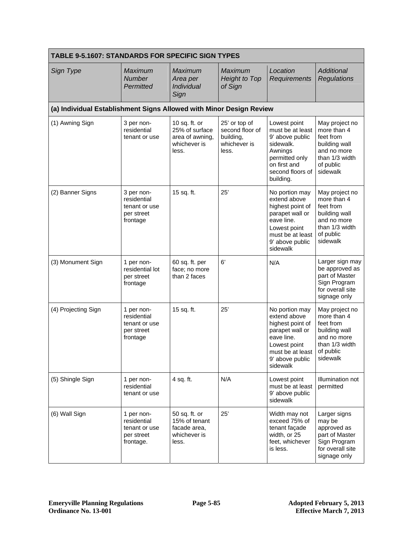| <b>TABLE 9-5.1607: STANDARDS FOR SPECIFIC SIGN TYPES</b>            |                                                                       |                                                                             |                                                                        |                                                                                                                                                        |                                                                                                                       |  |  |  |  |
|---------------------------------------------------------------------|-----------------------------------------------------------------------|-----------------------------------------------------------------------------|------------------------------------------------------------------------|--------------------------------------------------------------------------------------------------------------------------------------------------------|-----------------------------------------------------------------------------------------------------------------------|--|--|--|--|
| Sign Type                                                           | Maximum<br><b>Number</b><br>Permitted                                 | Maximum<br>Area per<br><b>Individual</b><br>Sign                            | <b>Maximum</b><br><b>Height to Top</b><br>of Sign                      | Location<br><b>Requirements</b>                                                                                                                        | <b>Additional</b><br><b>Regulations</b>                                                                               |  |  |  |  |
| (a) Individual Establishment Signs Allowed with Minor Design Review |                                                                       |                                                                             |                                                                        |                                                                                                                                                        |                                                                                                                       |  |  |  |  |
| (1) Awning Sign                                                     | 3 per non-<br>residential<br>tenant or use                            | 10 sq. ft. or<br>25% of surface<br>area of awning,<br>whichever is<br>less. | 25' or top of<br>second floor of<br>building,<br>whichever is<br>less. | Lowest point<br>must be at least<br>9' above public<br>sidewalk.<br>Awnings<br>permitted only<br>on first and<br>second floors of<br>building.         | May project no<br>more than 4<br>feet from<br>building wall<br>and no more<br>than 1/3 width<br>of public<br>sidewalk |  |  |  |  |
| (2) Banner Signs                                                    | 3 per non-<br>residential<br>tenant or use<br>per street<br>frontage  | 15 sq. ft.                                                                  | 25'                                                                    | No portion may<br>extend above<br>highest point of<br>parapet wall or<br>eave line.<br>Lowest point<br>must be at least<br>9' above public<br>sidewalk | May project no<br>more than 4<br>feet from<br>building wall<br>and no more<br>than 1/3 width<br>of public<br>sidewalk |  |  |  |  |
| (3) Monument Sign                                                   | 1 per non-<br>residential lot<br>per street<br>frontage               | 60 sq. ft. per<br>face; no more<br>than 2 faces                             | 6'                                                                     | N/A                                                                                                                                                    | Larger sign may<br>be approved as<br>part of Master<br>Sign Program<br>for overall site<br>signage only               |  |  |  |  |
| (4) Projecting Sign                                                 | 1 per non-<br>residential<br>tenant or use<br>per street<br>frontage  | 15 sq. ft.                                                                  | 25'                                                                    | No portion may<br>extend above<br>highest point of<br>parapet wall or<br>eave line.<br>Lowest point<br>must be at least<br>9' above public<br>sidewalk | May project no<br>more than 4<br>feet from<br>building wall<br>and no more<br>than 1/3 width<br>of public<br>sidewalk |  |  |  |  |
| (5) Shingle Sign                                                    | 1 per non-<br>residential<br>tenant or use                            | 4 sq. ft.                                                                   | N/A                                                                    | Lowest point<br>must be at least<br>9' above public<br>sidewalk                                                                                        | Illumination not<br>permitted                                                                                         |  |  |  |  |
| (6) Wall Sign                                                       | 1 per non-<br>residential<br>tenant or use<br>per street<br>frontage. | 50 sq. ft. or<br>15% of tenant<br>facade area,<br>whichever is<br>less.     | 25'                                                                    | Width may not<br>exceed 75% of<br>tenant façade<br>width, or 25<br>feet, whichever<br>is less.                                                         | Larger signs<br>may be<br>approved as<br>part of Master<br>Sign Program<br>for overall site<br>signage only           |  |  |  |  |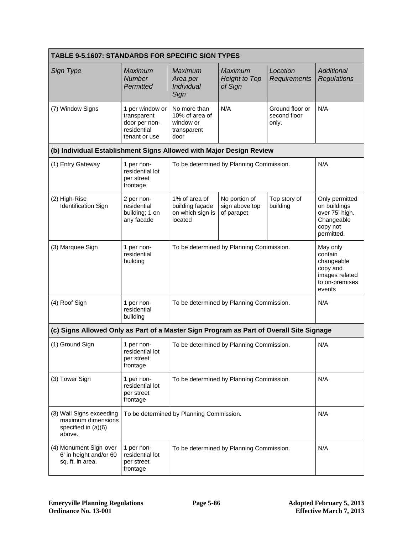| <b>TABLE 9-5.1607: STANDARDS FOR SPECIFIC SIGN TYPES</b>                                |                                                                                 |                                                                    |                                                                                             |                                          |                                                                                          |  |  |  |
|-----------------------------------------------------------------------------------------|---------------------------------------------------------------------------------|--------------------------------------------------------------------|---------------------------------------------------------------------------------------------|------------------------------------------|------------------------------------------------------------------------------------------|--|--|--|
| Sign Type                                                                               | <b>Maximum</b><br><b>Number</b><br>Permitted                                    | Maximum<br>Area per<br>Individual<br>Sign                          | <b>Maximum</b><br><b>Height to Top</b><br>of Sign                                           | Location<br><b>Requirements</b>          | Additional<br><b>Regulations</b>                                                         |  |  |  |
| (7) Window Signs                                                                        | 1 per window or<br>transparent<br>door per non-<br>residential<br>tenant or use | No more than<br>10% of area of<br>window or<br>transparent<br>door | N/A                                                                                         | Ground floor or<br>second floor<br>only. | N/A                                                                                      |  |  |  |
| (b) Individual Establishment Signs Allowed with Major Design Review                     |                                                                                 |                                                                    |                                                                                             |                                          |                                                                                          |  |  |  |
| (1) Entry Gateway                                                                       | 1 per non-<br>residential lot<br>per street<br>frontage                         | To be determined by Planning Commission.                           | N/A                                                                                         |                                          |                                                                                          |  |  |  |
| (2) High-Rise<br>Identification Sign                                                    | 2 per non-<br>residential<br>building; 1 on<br>any facade                       | 1% of area of<br>building façade<br>on which sign is<br>located    | No portion of<br>sign above top<br>of parapet                                               | Top story of<br>building                 | Only permitted<br>on buildings<br>over 75' high.<br>Changeable<br>copy not<br>permitted. |  |  |  |
| (3) Marquee Sign                                                                        | 1 per non-<br>residential<br>building                                           | To be determined by Planning Commission.                           | May only<br>contain<br>changeable<br>copy and<br>images related<br>to on-premises<br>events |                                          |                                                                                          |  |  |  |
| (4) Roof Sign                                                                           | 1 per non-<br>residential<br>building                                           | To be determined by Planning Commission.                           | N/A                                                                                         |                                          |                                                                                          |  |  |  |
| (c) Signs Allowed Only as Part of a Master Sign Program as Part of Overall Site Signage |                                                                                 |                                                                    |                                                                                             |                                          |                                                                                          |  |  |  |
| (1) Ground Sign                                                                         | 1 per non-<br>residential lot<br>per street<br>frontage                         | To be determined by Planning Commission.                           | N/A                                                                                         |                                          |                                                                                          |  |  |  |
| (3) Tower Sign                                                                          | 1 per non-<br>residential lot<br>per street<br>frontage                         | To be determined by Planning Commission.                           | N/A                                                                                         |                                          |                                                                                          |  |  |  |
| (3) Wall Signs exceeding<br>maximum dimensions<br>specified in $(a)(6)$<br>above.       | To be determined by Planning Commission.                                        | N/A                                                                |                                                                                             |                                          |                                                                                          |  |  |  |
| (4) Monument Sign over<br>6' in height and/or 60<br>sq. ft. in area.                    | 1 per non-<br>residential lot<br>per street<br>frontage                         | To be determined by Planning Commission.                           | N/A                                                                                         |                                          |                                                                                          |  |  |  |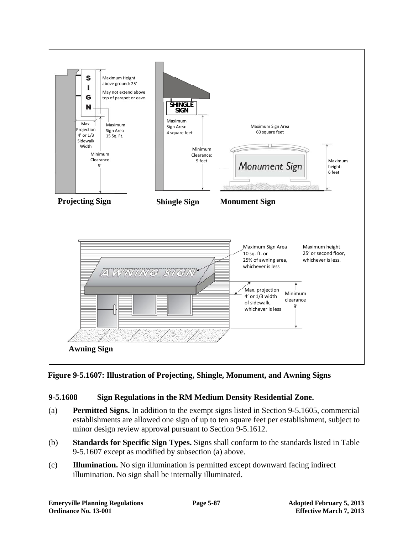

## **Figure 9-5.1607: Illustration of Projecting, Shingle, Monument, and Awning Signs**

### **9-5.1608 Sign Regulations in the RM Medium Density Residential Zone.**

- (a) **Permitted Signs.** In addition to the exempt signs listed in Section 9-5.1605, commercial establishments are allowed one sign of up to ten square feet per establishment, subject to minor design review approval pursuant to Section 9-5.1612.
- (b) **Standards for Specific Sign Types.** Signs shall conform to the standards listed in Table 9-5.1607 except as modified by subsection (a) above.
- (c) **Illumination.** No sign illumination is permitted except downward facing indirect illumination. No sign shall be internally illuminated.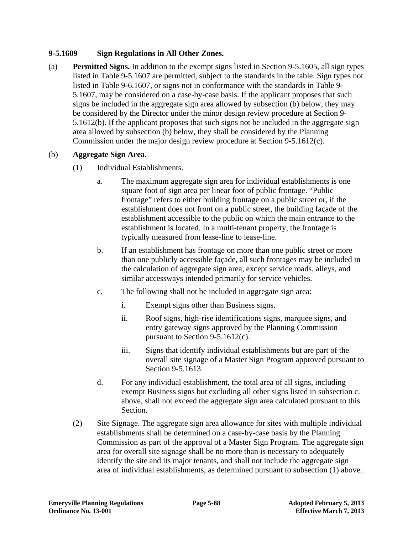### **9-5.1609 Sign Regulations in All Other Zones.**

(a) **Permitted Signs.** In addition to the exempt signs listed in Section 9-5.1605, all sign types listed in Table 9-5.1607 are permitted, subject to the standards in the table. Sign types not listed in Table 9-6.1607, or signs not in conformance with the standards in Table 9- 5.1607, may be considered on a case-by-case basis. If the applicant proposes that such signs be included in the aggregate sign area allowed by subsection (b) below, they may be considered by the Director under the minor design review procedure at Section 9- 5.1612(b). If the applicant proposes that such signs not be included in the aggregate sign area allowed by subsection (b) below, they shall be considered by the Planning Commission under the major design review procedure at Section 9-5.1612(c).

### (b) **Aggregate Sign Area.**

- (1) Individual Establishments.
	- a. The maximum aggregate sign area for individual establishments is one square foot of sign area per linear foot of public frontage. "Public frontage" refers to either building frontage on a public street or, if the establishment does not front on a public street, the building façade of the establishment accessible to the public on which the main entrance to the establishment is located. In a multi-tenant property, the frontage is typically measured from lease-line to lease-line.
	- b. If an establishment has frontage on more than one public street or more than one publicly accessible façade, all such frontages may be included in the calculation of aggregate sign area, except service roads, alleys, and similar accessways intended primarily for service vehicles.
	- c. The following shall not be included in aggregate sign area:
		- i. Exempt signs other than Business signs.
		- ii. Roof signs, high-rise identifications signs, marquee signs, and entry gateway signs approved by the Planning Commission pursuant to Section 9-5.1612(c).
		- iii. Signs that identify individual establishments but are part of the overall site signage of a Master Sign Program approved pursuant to Section 9-5.1613.
	- d. For any individual establishment, the total area of all signs, including exempt Business signs but excluding all other signs listed in subsection c. above, shall not exceed the aggregate sign area calculated pursuant to this Section.
- (2) Site Signage. The aggregate sign area allowance for sites with multiple individual establishments shall be determined on a case-by-case basis by the Planning Commission as part of the approval of a Master Sign Program. The aggregate sign area for overall site signage shall be no more than is necessary to adequately identify the site and its major tenants, and shall not include the aggregate sign area of individual establishments, as determined pursuant to subsection (1) above.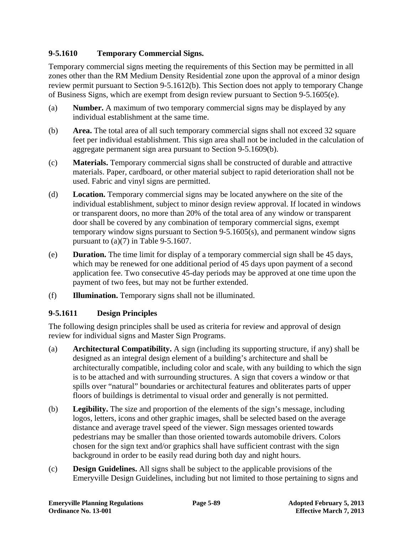## **9-5.1610 Temporary Commercial Signs.**

Temporary commercial signs meeting the requirements of this Section may be permitted in all zones other than the RM Medium Density Residential zone upon the approval of a minor design review permit pursuant to Section 9-5.1612(b). This Section does not apply to temporary Change of Business Signs, which are exempt from design review pursuant to Section 9-5.1605(e).

- (a) **Number.** A maximum of two temporary commercial signs may be displayed by any individual establishment at the same time.
- (b) **Area.** The total area of all such temporary commercial signs shall not exceed 32 square feet per individual establishment. This sign area shall not be included in the calculation of aggregate permanent sign area pursuant to Section 9-5.1609(b).
- (c) **Materials.** Temporary commercial signs shall be constructed of durable and attractive materials. Paper, cardboard, or other material subject to rapid deterioration shall not be used. Fabric and vinyl signs are permitted.
- (d) **Location.** Temporary commercial signs may be located anywhere on the site of the individual establishment, subject to minor design review approval. If located in windows or transparent doors, no more than 20% of the total area of any window or transparent door shall be covered by any combination of temporary commercial signs, exempt temporary window signs pursuant to Section 9-5.1605(s), and permanent window signs pursuant to  $(a)(7)$  in Table 9-5.1607.
- (e) **Duration.** The time limit for display of a temporary commercial sign shall be 45 days, which may be renewed for one additional period of 45 days upon payment of a second application fee. Two consecutive 45-day periods may be approved at one time upon the payment of two fees, but may not be further extended.
- (f) **Illumination.** Temporary signs shall not be illuminated.

## **9-5.1611 Design Principles**

The following design principles shall be used as criteria for review and approval of design review for individual signs and Master Sign Programs.

- (a) **Architectural Compatibility.** A sign (including its supporting structure, if any) shall be designed as an integral design element of a building's architecture and shall be architecturally compatible, including color and scale, with any building to which the sign is to be attached and with surrounding structures. A sign that covers a window or that spills over "natural" boundaries or architectural features and obliterates parts of upper floors of buildings is detrimental to visual order and generally is not permitted.
- (b) **Legibility.** The size and proportion of the elements of the sign's message, including logos, letters, icons and other graphic images, shall be selected based on the average distance and average travel speed of the viewer. Sign messages oriented towards pedestrians may be smaller than those oriented towards automobile drivers. Colors chosen for the sign text and/or graphics shall have sufficient contrast with the sign background in order to be easily read during both day and night hours.
- (c) **Design Guidelines.** All signs shall be subject to the applicable provisions of the Emeryville Design Guidelines, including but not limited to those pertaining to signs and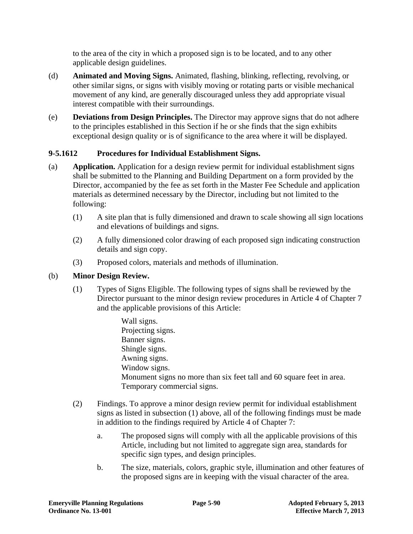to the area of the city in which a proposed sign is to be located, and to any other applicable design guidelines.

- (d) **Animated and Moving Signs.** Animated, flashing, blinking, reflecting, revolving, or other similar signs, or signs with visibly moving or rotating parts or visible mechanical movement of any kind, are generally discouraged unless they add appropriate visual interest compatible with their surroundings.
- (e) **Deviations from Design Principles.** The Director may approve signs that do not adhere to the principles established in this Section if he or she finds that the sign exhibits exceptional design quality or is of significance to the area where it will be displayed.

### **9-5.1612 Procedures for Individual Establishment Signs.**

- (a) **Application.** Application for a design review permit for individual establishment signs shall be submitted to the Planning and Building Department on a form provided by the Director, accompanied by the fee as set forth in the Master Fee Schedule and application materials as determined necessary by the Director, including but not limited to the following:
	- (1) A site plan that is fully dimensioned and drawn to scale showing all sign locations and elevations of buildings and signs.
	- (2) A fully dimensioned color drawing of each proposed sign indicating construction details and sign copy.
	- (3) Proposed colors, materials and methods of illumination.

## (b) **Minor Design Review.**

- (1) Types of Signs Eligible. The following types of signs shall be reviewed by the Director pursuant to the minor design review procedures in Article 4 of Chapter 7 and the applicable provisions of this Article:
	- Wall signs. Projecting signs. Banner signs. Shingle signs. Awning signs. Window signs. Monument signs no more than six feet tall and 60 square feet in area. Temporary commercial signs.
- (2) Findings. To approve a minor design review permit for individual establishment signs as listed in subsection (1) above, all of the following findings must be made in addition to the findings required by Article 4 of Chapter 7:
	- a. The proposed signs will comply with all the applicable provisions of this Article, including but not limited to aggregate sign area, standards for specific sign types, and design principles.
	- b. The size, materials, colors, graphic style, illumination and other features of the proposed signs are in keeping with the visual character of the area.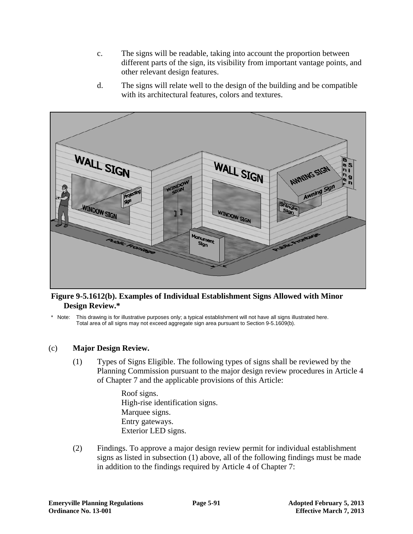- c. The signs will be readable, taking into account the proportion between different parts of the sign, its visibility from important vantage points, and other relevant design features.
- d. The signs will relate well to the design of the building and be compatible with its architectural features, colors and textures.



### **Figure 9-5.1612(b). Examples of Individual Establishment Signs Allowed with Minor Design Review.\***

\* Note: This drawing is for illustrative purposes only; a typical establishment will not have all signs illustrated here. Total area of all signs may not exceed aggregate sign area pursuant to Section 9-5.1609(b).

### (c) **Major Design Review.**

(1) Types of Signs Eligible. The following types of signs shall be reviewed by the Planning Commission pursuant to the major design review procedures in Article 4 of Chapter 7 and the applicable provisions of this Article:

> Roof signs. High-rise identification signs. Marquee signs. Entry gateways. Exterior LED signs.

(2) Findings. To approve a major design review permit for individual establishment signs as listed in subsection (1) above, all of the following findings must be made in addition to the findings required by Article 4 of Chapter 7: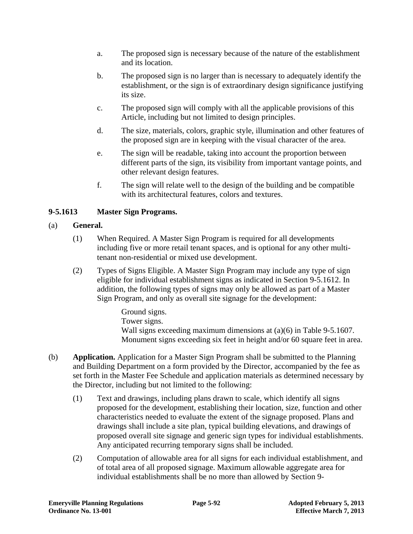- a. The proposed sign is necessary because of the nature of the establishment and its location.
- b. The proposed sign is no larger than is necessary to adequately identify the establishment, or the sign is of extraordinary design significance justifying its size.
- c. The proposed sign will comply with all the applicable provisions of this Article, including but not limited to design principles.
- d. The size, materials, colors, graphic style, illumination and other features of the proposed sign are in keeping with the visual character of the area.
- e. The sign will be readable, taking into account the proportion between different parts of the sign, its visibility from important vantage points, and other relevant design features.
- f. The sign will relate well to the design of the building and be compatible with its architectural features, colors and textures.

### **9-5.1613 Master Sign Programs.**

### (a) **General.**

- (1) When Required. A Master Sign Program is required for all developments including five or more retail tenant spaces, and is optional for any other multitenant non-residential or mixed use development.
- (2) Types of Signs Eligible. A Master Sign Program may include any type of sign eligible for individual establishment signs as indicated in Section 9-5.1612. In addition, the following types of signs may only be allowed as part of a Master Sign Program, and only as overall site signage for the development:

 Ground signs. Tower signs. Wall signs exceeding maximum dimensions at (a)(6) in Table 9-5.1607. Monument signs exceeding six feet in height and/or 60 square feet in area.

- (b) **Application.** Application for a Master Sign Program shall be submitted to the Planning and Building Department on a form provided by the Director, accompanied by the fee as set forth in the Master Fee Schedule and application materials as determined necessary by the Director, including but not limited to the following:
	- (1) Text and drawings, including plans drawn to scale, which identify all signs proposed for the development, establishing their location, size, function and other characteristics needed to evaluate the extent of the signage proposed. Plans and drawings shall include a site plan, typical building elevations, and drawings of proposed overall site signage and generic sign types for individual establishments. Any anticipated recurring temporary signs shall be included.
	- (2) Computation of allowable area for all signs for each individual establishment, and of total area of all proposed signage. Maximum allowable aggregate area for individual establishments shall be no more than allowed by Section 9-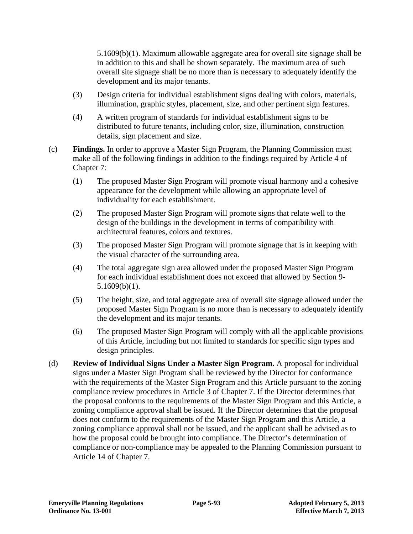5.1609(b)(1). Maximum allowable aggregate area for overall site signage shall be in addition to this and shall be shown separately. The maximum area of such overall site signage shall be no more than is necessary to adequately identify the development and its major tenants.

- (3) Design criteria for individual establishment signs dealing with colors, materials, illumination, graphic styles, placement, size, and other pertinent sign features.
- (4) A written program of standards for individual establishment signs to be distributed to future tenants, including color, size, illumination, construction details, sign placement and size.
- (c) **Findings.** In order to approve a Master Sign Program, the Planning Commission must make all of the following findings in addition to the findings required by Article 4 of Chapter 7:
	- (1) The proposed Master Sign Program will promote visual harmony and a cohesive appearance for the development while allowing an appropriate level of individuality for each establishment.
	- (2) The proposed Master Sign Program will promote signs that relate well to the design of the buildings in the development in terms of compatibility with architectural features, colors and textures.
	- (3) The proposed Master Sign Program will promote signage that is in keeping with the visual character of the surrounding area.
	- (4) The total aggregate sign area allowed under the proposed Master Sign Program for each individual establishment does not exceed that allowed by Section 9- 5.1609(b)(1).
	- (5) The height, size, and total aggregate area of overall site signage allowed under the proposed Master Sign Program is no more than is necessary to adequately identify the development and its major tenants.
	- (6) The proposed Master Sign Program will comply with all the applicable provisions of this Article, including but not limited to standards for specific sign types and design principles.
- (d) **Review of Individual Signs Under a Master Sign Program.** A proposal for individual signs under a Master Sign Program shall be reviewed by the Director for conformance with the requirements of the Master Sign Program and this Article pursuant to the zoning compliance review procedures in Article 3 of Chapter 7. If the Director determines that the proposal conforms to the requirements of the Master Sign Program and this Article, a zoning compliance approval shall be issued. If the Director determines that the proposal does not conform to the requirements of the Master Sign Program and this Article, a zoning compliance approval shall not be issued, and the applicant shall be advised as to how the proposal could be brought into compliance. The Director's determination of compliance or non-compliance may be appealed to the Planning Commission pursuant to Article 14 of Chapter 7.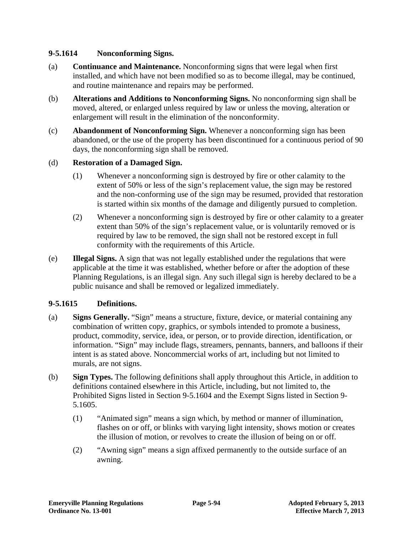### **9-5.1614 Nonconforming Signs.**

- (a) **Continuance and Maintenance.** Nonconforming signs that were legal when first installed, and which have not been modified so as to become illegal, may be continued, and routine maintenance and repairs may be performed.
- (b) **Alterations and Additions to Nonconforming Signs.** No nonconforming sign shall be moved, altered, or enlarged unless required by law or unless the moving, alteration or enlargement will result in the elimination of the nonconformity.
- (c) **Abandonment of Nonconforming Sign.** Whenever a nonconforming sign has been abandoned, or the use of the property has been discontinued for a continuous period of 90 days, the nonconforming sign shall be removed.

### (d) **Restoration of a Damaged Sign.**

- (1) Whenever a nonconforming sign is destroyed by fire or other calamity to the extent of 50% or less of the sign's replacement value, the sign may be restored and the non-conforming use of the sign may be resumed, provided that restoration is started within six months of the damage and diligently pursued to completion.
- (2) Whenever a nonconforming sign is destroyed by fire or other calamity to a greater extent than 50% of the sign's replacement value, or is voluntarily removed or is required by law to be removed, the sign shall not be restored except in full conformity with the requirements of this Article.
- (e) **Illegal Signs.** A sign that was not legally established under the regulations that were applicable at the time it was established, whether before or after the adoption of these Planning Regulations, is an illegal sign. Any such illegal sign is hereby declared to be a public nuisance and shall be removed or legalized immediately.

## **9-5.1615 Definitions.**

- (a) **Signs Generally.** "Sign" means a structure, fixture, device, or material containing any combination of written copy, graphics, or symbols intended to promote a business, product, commodity, service, idea, or person, or to provide direction, identification, or information. "Sign" may include flags, streamers, pennants, banners, and balloons if their intent is as stated above. Noncommercial works of art, including but not limited to murals, are not signs.
- (b) **Sign Types.** The following definitions shall apply throughout this Article, in addition to definitions contained elsewhere in this Article, including, but not limited to, the Prohibited Signs listed in Section 9-5.1604 and the Exempt Signs listed in Section 9- 5.1605.
	- (1) "Animated sign" means a sign which, by method or manner of illumination, flashes on or off, or blinks with varying light intensity, shows motion or creates the illusion of motion, or revolves to create the illusion of being on or off.
	- (2) "Awning sign" means a sign affixed permanently to the outside surface of an awning.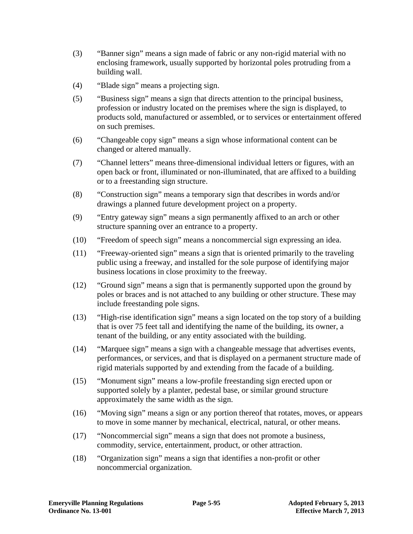- (3) "Banner sign" means a sign made of fabric or any non-rigid material with no enclosing framework, usually supported by horizontal poles protruding from a building wall.
- (4) "Blade sign" means a projecting sign.
- (5) "Business sign" means a sign that directs attention to the principal business, profession or industry located on the premises where the sign is displayed, to products sold, manufactured or assembled, or to services or entertainment offered on such premises.
- (6) "Changeable copy sign" means a sign whose informational content can be changed or altered manually.
- (7) "Channel letters" means three-dimensional individual letters or figures, with an open back or front, illuminated or non-illuminated, that are affixed to a building or to a freestanding sign structure.
- (8) "Construction sign" means a temporary sign that describes in words and/or drawings a planned future development project on a property.
- (9) "Entry gateway sign" means a sign permanently affixed to an arch or other structure spanning over an entrance to a property.
- (10) "Freedom of speech sign" means a noncommercial sign expressing an idea.
- (11) "Freeway-oriented sign" means a sign that is oriented primarily to the traveling public using a freeway, and installed for the sole purpose of identifying major business locations in close proximity to the freeway.
- (12) "Ground sign" means a sign that is permanently supported upon the ground by poles or braces and is not attached to any building or other structure. These may include freestanding pole signs.
- (13) "High-rise identification sign" means a sign located on the top story of a building that is over 75 feet tall and identifying the name of the building, its owner, a tenant of the building, or any entity associated with the building.
- (14) "Marquee sign" means a sign with a changeable message that advertises events, performances, or services, and that is displayed on a permanent structure made of rigid materials supported by and extending from the facade of a building.
- (15) "Monument sign" means a low-profile freestanding sign erected upon or supported solely by a planter, pedestal base, or similar ground structure approximately the same width as the sign.
- (16) "Moving sign" means a sign or any portion thereof that rotates, moves, or appears to move in some manner by mechanical, electrical, natural, or other means.
- (17) "Noncommercial sign" means a sign that does not promote a business, commodity, service, entertainment, product, or other attraction.
- (18) "Organization sign" means a sign that identifies a non-profit or other noncommercial organization.